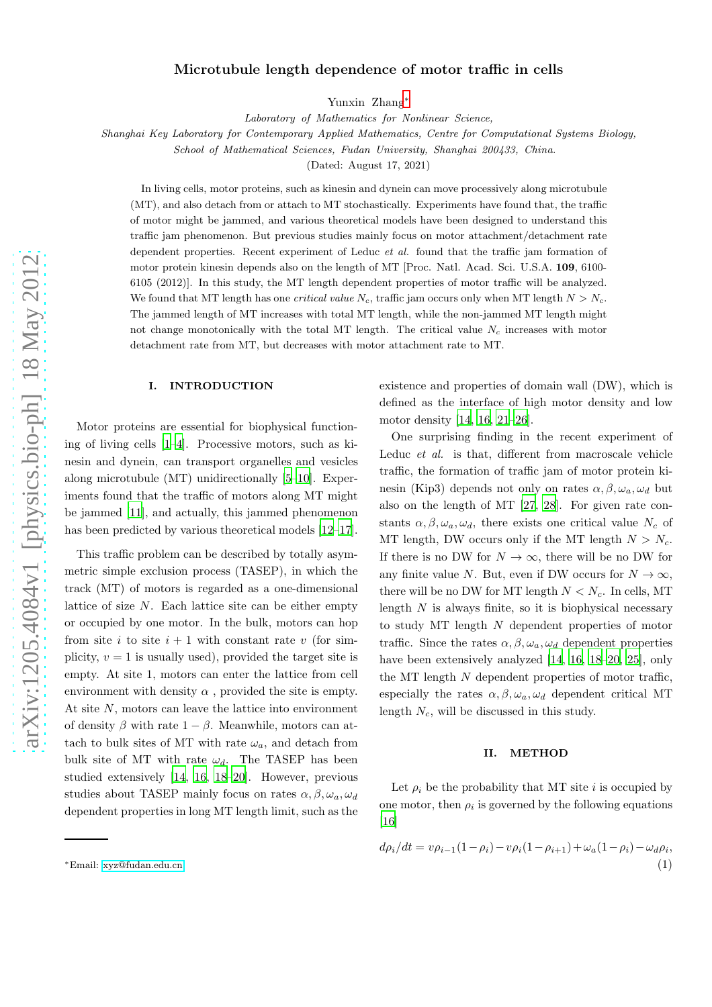# Microtubule length dependence of motor traffic in cells

Yunxin Zhang[∗](#page-0-0)

*Laboratory of Mathematics for Nonlinear Science,*

*Shanghai Key Laboratory for Contemporary Applied Mathematics, Centre for Computational Systems Biology,*

*School of Mathematical Sciences, Fudan University, Shanghai 200433, China.*

(Dated: August 17, 2021)

In living cells, motor proteins, such as kinesin and dynein can move processively along microtubule (MT), and also detach from or attach to MT stochastically. Experiments have found that, the traffic of motor might be jammed, and various theoretical models have been designed to understand this traffic jam phenomenon. But previous studies mainly focus on motor attachment/detachment rate dependent properties. Recent experiment of Leduc *et al.* found that the traffic jam formation of motor protein kinesin depends also on the length of MT [Proc. Natl. Acad. Sci. U.S.A. 109, 6100- 6105 (2012)]. In this study, the MT length dependent properties of motor traffic will be analyzed. We found that MT length has one *critical value*  $N_c$ , traffic jam occurs only when MT length  $N > N_c$ . The jammed length of MT increases with total MT length, while the non-jammed MT length might not change monotonically with the total MT length. The critical value  $N_c$  increases with motor detachment rate from MT, but decreases with motor attachment rate to MT.

### I. INTRODUCTION

Motor proteins are essential for biophysical functioning of living cells [\[1](#page-2-0)[–4](#page-2-1)]. Processive motors, such as kinesin and dynein, can transport organelles and vesicles along microtubule (MT) unidirectionally [\[5](#page-2-2)[–10\]](#page-2-3). Experiments found that the traffic of motors along MT might be jammed [\[11](#page-2-4)], and actually, this jammed phenomenon has been predicted by various theoretical models [\[12](#page-2-5)[–17\]](#page-2-6).

This traffic problem can be described by totally asymmetric simple exclusion process (TASEP), in which the track (MT) of motors is regarded as a one-dimensional lattice of size  $N$ . Each lattice site can be either empty or occupied by one motor. In the bulk, motors can hop from site i to site  $i + 1$  with constant rate v (for simplicity,  $v = 1$  is usually used), provided the target site is empty. At site 1, motors can enter the lattice from cell environment with density  $\alpha$ , provided the site is empty. At site N, motors can leave the lattice into environment of density  $\beta$  with rate  $1 - \beta$ . Meanwhile, motors can attach to bulk sites of MT with rate  $\omega_a$ , and detach from bulk site of MT with rate  $\omega_d$ . The TASEP has been studied extensively [\[14](#page-2-7), [16,](#page-2-8) [18](#page-2-9)[–20\]](#page-2-10). However, previous studies about TASEP mainly focus on rates  $\alpha$ ,  $\beta$ ,  $\omega_a$ ,  $\omega_d$ dependent properties in long MT length limit, such as the existence and properties of domain wall (DW), which is defined as the interface of high motor density and low motor density [\[14,](#page-2-7) [16,](#page-2-8) [21](#page-2-11)[–26\]](#page-2-12).

One surprising finding in the recent experiment of Leduc et al. is that, different from macroscale vehicle traffic, the formation of traffic jam of motor protein kinesin (Kip3) depends not only on rates  $\alpha$ ,  $\beta$ ,  $\omega_a$ ,  $\omega_d$  but also on the length of MT [\[27](#page-2-13), [28](#page-2-14)]. For given rate constants  $\alpha, \beta, \omega_a, \omega_d$ , there exists one critical value  $N_c$  of MT length, DW occurs only if the MT length  $N > N_c$ . If there is no DW for  $N \to \infty$ , there will be no DW for any finite value N. But, even if DW occurs for  $N \to \infty$ , there will be no DW for MT length  $N < N_c$ . In cells, MT length  $N$  is always finite, so it is biophysical necessary to study MT length  $N$  dependent properties of motor traffic. Since the rates  $\alpha, \beta, \omega_a, \omega_d$  dependent properties have been extensively analyzed [\[14,](#page-2-7) [16](#page-2-8), [18](#page-2-9)[–20,](#page-2-10) [25](#page-2-15)], only the MT length  $N$  dependent properties of motor traffic, especially the rates  $\alpha, \beta, \omega_a, \omega_d$  dependent critical MT length  $N_c$ , will be discussed in this study.

# II. METHOD

Let  $\rho_i$  be the probability that MT site i is occupied by one motor, then  $\rho_i$  is governed by the following equations [\[16\]](#page-2-8)

<span id="page-0-1"></span>
$$
d\rho_i/dt = v\rho_{i-1}(1-\rho_i) - v\rho_i(1-\rho_{i+1}) + \omega_a(1-\rho_i) - \omega_d\rho_i,
$$
  
(1)

<span id="page-0-0"></span><sup>∗</sup>Email: [xyz@fudan.edu.cn](mailto:xyz@fudan.edu.cn)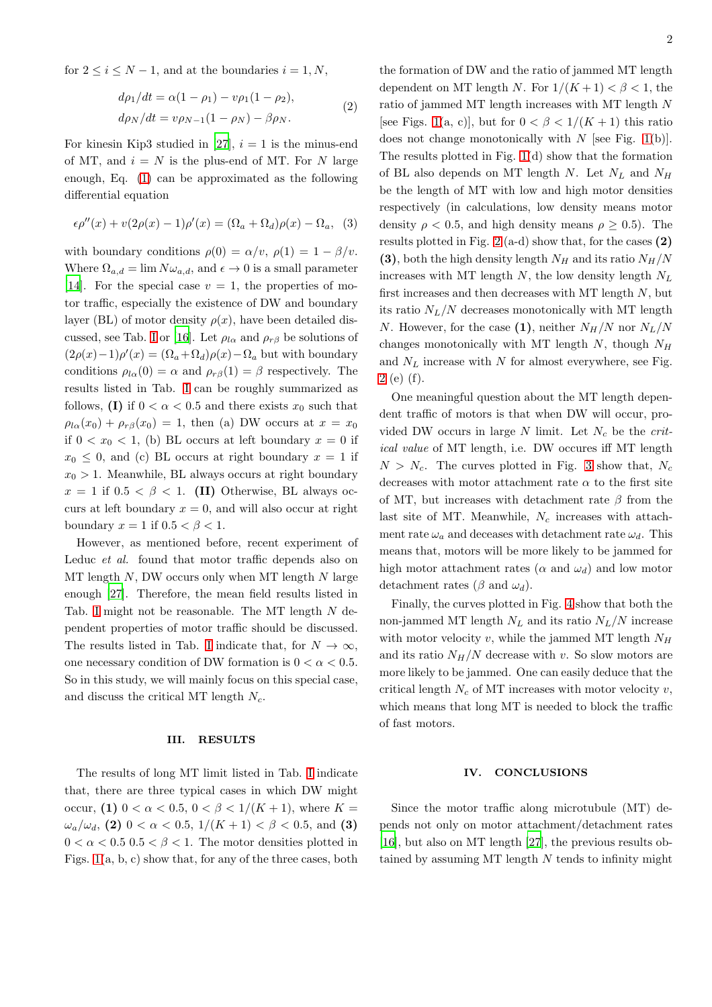for  $2 \leq i \leq N-1$ , and at the boundaries  $i = 1, N$ ,

$$
d\rho_1/dt = \alpha(1 - \rho_1) - v\rho_1(1 - \rho_2),
$$
  
\n
$$
d\rho_N/dt = v\rho_{N-1}(1 - \rho_N) - \beta\rho_N.
$$
\n(2)

For kinesin Kip3 studied in [\[27\]](#page-2-13),  $i = 1$  is the minus-end of MT, and  $i = N$  is the plus-end of MT. For N large enough, Eq. [\(1\)](#page-0-1) can be approximated as the following differential equation

$$
\epsilon \rho''(x) + v(2\rho(x) - 1)\rho'(x) = (\Omega_a + \Omega_d)\rho(x) - \Omega_a, \quad (3)
$$

with boundary conditions  $\rho(0) = \alpha/v$ ,  $\rho(1) = 1 - \beta/v$ . Where  $\Omega_{a,d} = \lim N \omega_{a,d}$ , and  $\epsilon \to 0$  is a small parameter [\[14\]](#page-2-7). For the special case  $v = 1$ , the properties of motor traffic, especially the existence of DW and boundary layer (BL) of motor density  $\rho(x)$ , have been detailed dis-cussed, see Tab. [I](#page-3-0) or [\[16\]](#page-2-8). Let  $\rho_{l\alpha}$  and  $\rho_{r\beta}$  be solutions of  $(2\rho(x)-1)\rho'(x) = (\Omega_a + \Omega_d)\rho(x) - \Omega_a$  but with boundary conditions  $\rho_{l\alpha}(0) = \alpha$  and  $\rho_{r\beta}(1) = \beta$  respectively. The results listed in Tab. [I](#page-3-0) can be roughly summarized as follows, (I) if  $0 < \alpha < 0.5$  and there exists  $x_0$  such that  $\rho_{l\alpha}(x_0) + \rho_{r\beta}(x_0) = 1$ , then (a) DW occurs at  $x = x_0$ if  $0 < x_0 < 1$ , (b) BL occurs at left boundary  $x = 0$  if  $x_0 \leq 0$ , and (c) BL occurs at right boundary  $x = 1$  if  $x_0 > 1$ . Meanwhile, BL always occurs at right boundary  $x = 1$  if  $0.5 < \beta < 1$ . (II) Otherwise, BL always occurs at left boundary  $x = 0$ , and will also occur at right boundary  $x = 1$  if  $0.5 < \beta < 1$ .

However, as mentioned before, recent experiment of Leduc et al. found that motor traffic depends also on  $MT$  length  $N$ , DW occurs only when MT length  $N$  large enough [\[27\]](#page-2-13). Therefore, the mean field results listed in Tab. [I](#page-3-0) might not be reasonable. The MT length  $N$  dependent properties of motor traffic should be discussed. The results listed in Tab. [I](#page-3-0) indicate that, for  $N \to \infty$ , one necessary condition of DW formation is  $0 < \alpha < 0.5$ . So in this study, we will mainly focus on this special case, and discuss the critical MT length  $N_c$ .

#### III. RESULTS

The results of long MT limit listed in Tab. [I](#page-3-0) indicate that, there are three typical cases in which DW might occur, (1)  $0 < \alpha < 0.5$ ,  $0 < \beta < 1/(K + 1)$ , where  $K =$  $\omega_a/\omega_d$ , (2)  $0 < \alpha < 0.5, 1/(K+1) < \beta < 0.5,$  and (3)  $0 < \alpha < 0.5$   $0.5 < \beta < 1$ . The motor densities plotted in Figs. [1\(](#page-4-0)a, b, c) show that, for any of the three cases, both the formation of DW and the ratio of jammed MT length dependent on MT length N. For  $1/(K+1) < \beta < 1$ , the ratio of jammed MT length increases with MT length N [see Figs. [1\(](#page-4-0)a, c)], but for  $0 < \beta < 1/(K+1)$  this ratio does not change monotonically with  $N$  [see Fig. [1\(](#page-4-0)b)]. The results plotted in Fig. [1\(](#page-4-0)d) show that the formation of BL also depends on MT length N. Let  $N_L$  and  $N_H$ be the length of MT with low and high motor densities respectively (in calculations, low density means motor density  $\rho < 0.5$ , and high density means  $\rho \geq 0.5$ ). The results plotted in Fig. [2](#page-5-0) (a-d) show that, for the cases  $(2)$ (3), both the high density length  $N_H$  and its ratio  $N_H/N$ increases with MT length  $N$ , the low density length  $N_L$ first increases and then decreases with MT length  $N$ , but its ratio  $N_L/N$  decreases monotonically with MT length N. However, for the case (1), neither  $N_H/N$  nor  $N_L/N$ changes monotonically with MT length  $N$ , though  $N_H$ and  $N_L$  increase with N for almost everywhere, see Fig. [2](#page-5-0) (e) (f).

One meaningful question about the MT length dependent traffic of motors is that when DW will occur, provided DW occurs in large  $N$  limit. Let  $N_c$  be the critical value of MT length, i.e. DW occures iff MT length  $N > N_c$ . The curves plotted in Fig. [3](#page-6-0) show that,  $N_c$ decreases with motor attachment rate  $\alpha$  to the first site of MT, but increases with detachment rate  $\beta$  from the last site of MT. Meanwhile,  $N_c$  increases with attachment rate  $\omega_a$  and deceases with detachment rate  $\omega_d$ . This means that, motors will be more likely to be jammed for high motor attachment rates ( $\alpha$  and  $\omega_d$ ) and low motor detachment rates ( $\beta$  and  $\omega_d$ ).

Finally, the curves plotted in Fig. [4](#page-7-0) show that both the non-jammed MT length  $N_L$  and its ratio  $N_L/N$  increase with motor velocity v, while the jammed MT length  $N_H$ and its ratio  $N_H/N$  decrease with v. So slow motors are more likely to be jammed. One can easily deduce that the critical length  $N_c$  of MT increases with motor velocity  $v$ , which means that long MT is needed to block the traffic of fast motors.

### IV. CONCLUSIONS

Since the motor traffic along microtubule (MT) depends not only on motor attachment/detachment rates [\[16\]](#page-2-8), but also on MT length [\[27\]](#page-2-13), the previous results obtained by assuming MT length  $N$  tends to infinity might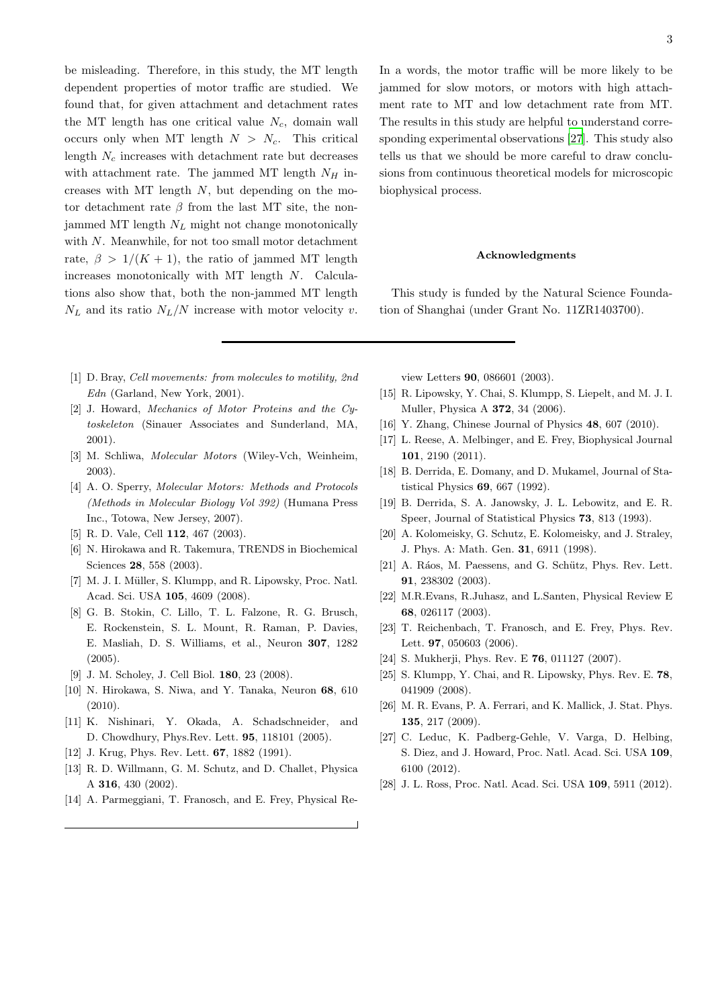be misleading. Therefore, in this study, the MT length dependent properties of motor traffic are studied. We found that, for given attachment and detachment rates the MT length has one critical value  $N_c$ , domain wall occurs only when MT length  $N > N_c$ . This critical length  $N_c$  increases with detachment rate but decreases with attachment rate. The jammed MT length  $N_H$  increases with MT length  $N$ , but depending on the motor detachment rate  $\beta$  from the last MT site, the nonjammed MT length  $N_L$  might not change monotonically with  $N$ . Meanwhile, for not too small motor detachment rate,  $\beta > 1/(K + 1)$ , the ratio of jammed MT length increases monotonically with MT length N. Calculations also show that, both the non-jammed MT length  $N_L$  and its ratio  $N_L/N$  increase with motor velocity v.

- <span id="page-2-0"></span>[1] D. Bray, *Cell movements: from molecules to motility, 2nd Edn* (Garland, New York, 2001).
- [2] J. Howard, *Mechanics of Motor Proteins and the Cytoskeleton* (Sinauer Associates and Sunderland, MA, 2001).
- [3] M. Schliwa, *Molecular Motors* (Wiley-Vch, Weinheim, 2003).
- <span id="page-2-1"></span>[4] A. O. Sperry, *Molecular Motors: Methods and Protocols (Methods in Molecular Biology Vol 392)* (Humana Press Inc., Totowa, New Jersey, 2007).
- <span id="page-2-2"></span>[5] R. D. Vale, Cell 112, 467 (2003).
- [6] N. Hirokawa and R. Takemura, TRENDS in Biochemical Sciences 28, 558 (2003).
- [7] M. J. I. Müller, S. Klumpp, and R. Lipowsky, Proc. Natl. Acad. Sci. USA 105, 4609 (2008).
- [8] G. B. Stokin, C. Lillo, T. L. Falzone, R. G. Brusch, E. Rockenstein, S. L. Mount, R. Raman, P. Davies, E. Masliah, D. S. Williams, et al., Neuron 307, 1282 (2005).
- [9] J. M. Scholey, J. Cell Biol. 180, 23 (2008).
- <span id="page-2-3"></span>[10] N. Hirokawa, S. Niwa, and Y. Tanaka, Neuron 68, 610  $(2010).$
- <span id="page-2-4"></span>[11] K. Nishinari, Y. Okada, A. Schadschneider, and D. Chowdhury, Phys.Rev. Lett. 95, 118101 (2005).
- <span id="page-2-5"></span>[12] J. Krug, Phys. Rev. Lett. **67**, 1882 (1991).
- [13] R. D. Willmann, G. M. Schutz, and D. Challet, Physica A 316, 430 (2002).
- <span id="page-2-7"></span>[14] A. Parmeggiani, T. Franosch, and E. Frey, Physical Re-

In a words, the motor traffic will be more likely to be jammed for slow motors, or motors with high attachment rate to MT and low detachment rate from MT. The results in this study are helpful to understand corresponding experimental observations [\[27\]](#page-2-13). This study also tells us that we should be more careful to draw conclusions from continuous theoretical models for microscopic biophysical process.

## Acknowledgments

This study is funded by the Natural Science Foundation of Shanghai (under Grant No. 11ZR1403700).

view Letters 90, 086601 (2003).

- [15] R. Lipowsky, Y. Chai, S. Klumpp, S. Liepelt, and M. J. I. Muller, Physica A 372, 34 (2006).
- <span id="page-2-8"></span>[16] Y. Zhang, Chinese Journal of Physics **48**, 607 (2010).
- <span id="page-2-6"></span>[17] L. Reese, A. Melbinger, and E. Frey, Biophysical Journal 101, 2190 (2011).
- <span id="page-2-9"></span>[18] B. Derrida, E. Domany, and D. Mukamel, Journal of Statistical Physics 69, 667 (1992).
- [19] B. Derrida, S. A. Janowsky, J. L. Lebowitz, and E. R. Speer, Journal of Statistical Physics 73, 813 (1993).
- <span id="page-2-10"></span>[20] A. Kolomeisky, G. Schutz, E. Kolomeisky, and J. Straley, J. Phys. A: Math. Gen. 31, 6911 (1998).
- <span id="page-2-11"></span>[21] A. Ráos, M. Paessens, and G. Schütz, Phys. Rev. Lett. 91, 238302 (2003).
- [22] M.R.Evans, R.Juhasz, and L.Santen, Physical Review E 68, 026117 (2003).
- [23] T. Reichenbach, T. Franosch, and E. Frey, Phys. Rev. Lett. **97**, 050603 (2006).
- [24] S. Mukherji, Phys. Rev. E **76**, 011127 (2007).
- <span id="page-2-15"></span>[25] S. Klumpp, Y. Chai, and R. Lipowsky, Phys. Rev. E. 78, 041909 (2008).
- <span id="page-2-12"></span>[26] M. R. Evans, P. A. Ferrari, and K. Mallick, J. Stat. Phys. 135, 217 (2009).
- <span id="page-2-13"></span>[27] C. Leduc, K. Padberg-Gehle, V. Varga, D. Helbing, S. Diez, and J. Howard, Proc. Natl. Acad. Sci. USA 109, 6100 (2012).
- <span id="page-2-14"></span>[28] J. L. Ross, Proc. Natl. Acad. Sci. USA 109, 5911 (2012).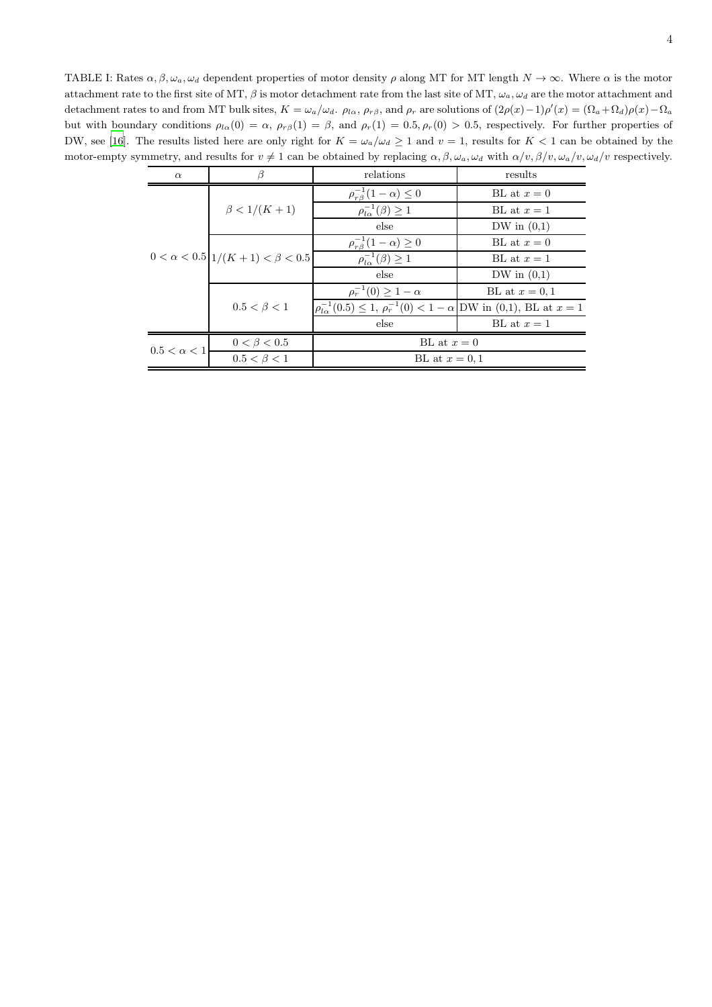<span id="page-3-0"></span>TABLE I: Rates  $\alpha, \beta, \omega_a, \omega_d$  dependent properties of motor density  $\rho$  along MT for MT length  $N \to \infty$ . Where  $\alpha$  is the motor attachment rate to the first site of MT,  $\beta$  is motor detachment rate from the last site of MT,  $\omega_a$ ,  $\omega_d$  are the motor attachment and detachment rates to and from MT bulk sites,  $K = \omega_a/\omega_d$ .  $\rho_{l\alpha}$ ,  $\rho_{r\beta}$ , and  $\rho_r$  are solutions of  $(2\rho(x) - 1)\rho'(x) = (\Omega_a + \Omega_d)\rho(x) - \Omega_a$ but with boundary conditions  $\rho_{l\alpha}(0) = \alpha$ ,  $\rho_{r\beta}(1) = \beta$ , and  $\rho_r(1) = 0.5$ ,  $\rho_r(0) > 0.5$ , respectively. For further properties of DW, see [\[16](#page-2-8)]. The results listed here are only right for  $K = \omega_a/\omega_d \ge 1$  and  $v = 1$ , results for  $K < 1$  can be obtained by the motor-empty symmetry, and results for  $v \neq 1$  can be obtained by replacing  $\alpha, \beta, \omega_a, \omega_d$  with  $\alpha/v, \beta/v, \omega_a/v, \omega_d/v$  respectively.

| $\alpha$           |                                            | relations                                                                                   | results       |
|--------------------|--------------------------------------------|---------------------------------------------------------------------------------------------|---------------|
|                    | $\beta < 1/(K + 1)$                        | $\rho_{r\beta}^{-1}(1-\alpha) \leq 0$                                                       | BL at $x=0$   |
|                    |                                            | $\rho_{l\alpha}^{-1}(\beta) \geq 1$                                                         | BL at $x=1$   |
|                    |                                            | else                                                                                        | DW in $(0,1)$ |
|                    | $0 < \alpha < 0.5$ $1/(K+1) < \beta < 0.5$ | $\rho_{r\beta}^{-1}(1-\alpha) \geq 0$                                                       | BL at $x=0$   |
|                    |                                            | $\rho_{l\alpha}^{-1}(\beta) \geq 1$                                                         | BL at $x=1$   |
|                    |                                            | else                                                                                        | DW in $(0,1)$ |
|                    | $0.5 < \beta < 1$                          | $\rho_r^{-1}(0) \geq 1 - \alpha$                                                            | BL at $x=0,1$ |
|                    |                                            | $ \rho_{l\alpha}^{-1}(0.5) \leq 1, \rho_r^{-1}(0) < 1 - \alpha  DW$ in (0,1), BL at $x = 1$ |               |
|                    |                                            | else                                                                                        | BL at $x=1$   |
| $0.5 < \alpha < 1$ | $0 < \beta < 0.5$                          | BL at $x=0$                                                                                 |               |
|                    | $0.5 < \beta < 1$                          | BL at $x=0,1$                                                                               |               |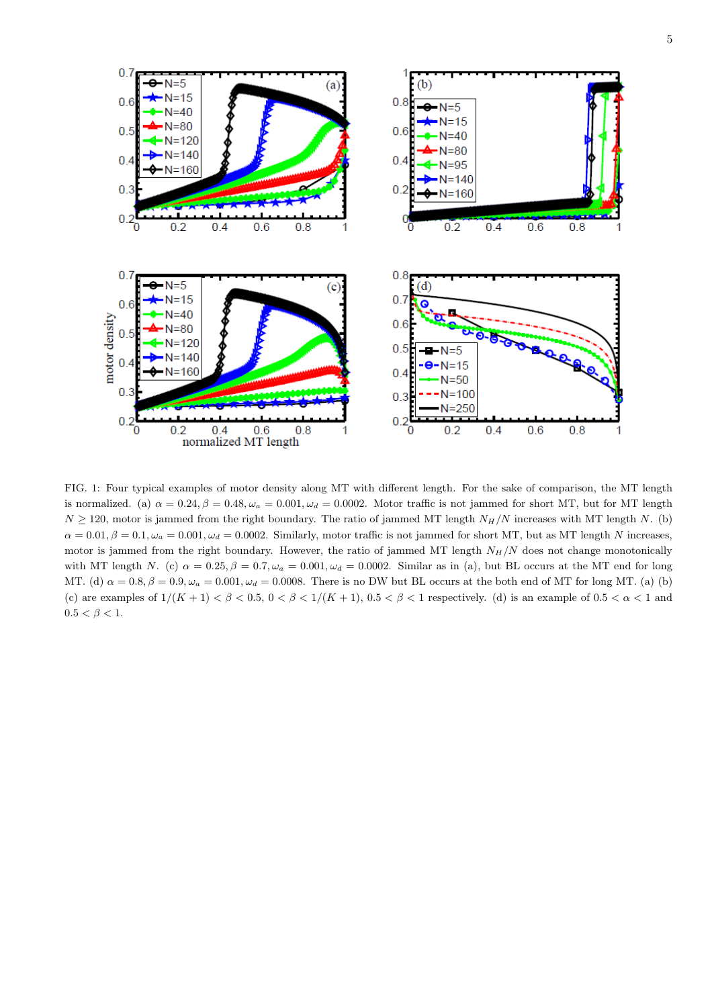

<span id="page-4-0"></span>FIG. 1: Four typical examples of motor density along MT with different length. For the sake of comparison, the MT length is normalized. (a)  $\alpha = 0.24$ ,  $\beta = 0.48$ ,  $\omega_a = 0.001$ ,  $\omega_d = 0.0002$ . Motor traffic is not jammed for short MT, but for MT length  $N \ge 120$ , motor is jammed from the right boundary. The ratio of jammed MT length  $N_H/N$  increases with MT length N. (b)  $\alpha = 0.01, \beta = 0.1, \omega_a = 0.001, \omega_d = 0.0002$ . Similarly, motor traffic is not jammed for short MT, but as MT length N increases, motor is jammed from the right boundary. However, the ratio of jammed MT length  $N_H/N$  does not change monotonically with MT length N. (c)  $\alpha = 0.25$ ,  $\beta = 0.7$ ,  $\omega_a = 0.001$ ,  $\omega_d = 0.0002$ . Similar as in (a), but BL occurs at the MT end for long MT. (d)  $\alpha = 0.8$ ,  $\beta = 0.9$ ,  $\omega_a = 0.001$ ,  $\omega_d = 0.0008$ . There is no DW but BL occurs at the both end of MT for long MT. (a) (b) (c) are examples of  $1/(K+1) < \beta < 0.5$ ,  $0 < \beta < 1/(K+1)$ ,  $0.5 < \beta < 1$  respectively. (d) is an example of  $0.5 < \alpha < 1$  and  $0.5 < \beta < 1$ .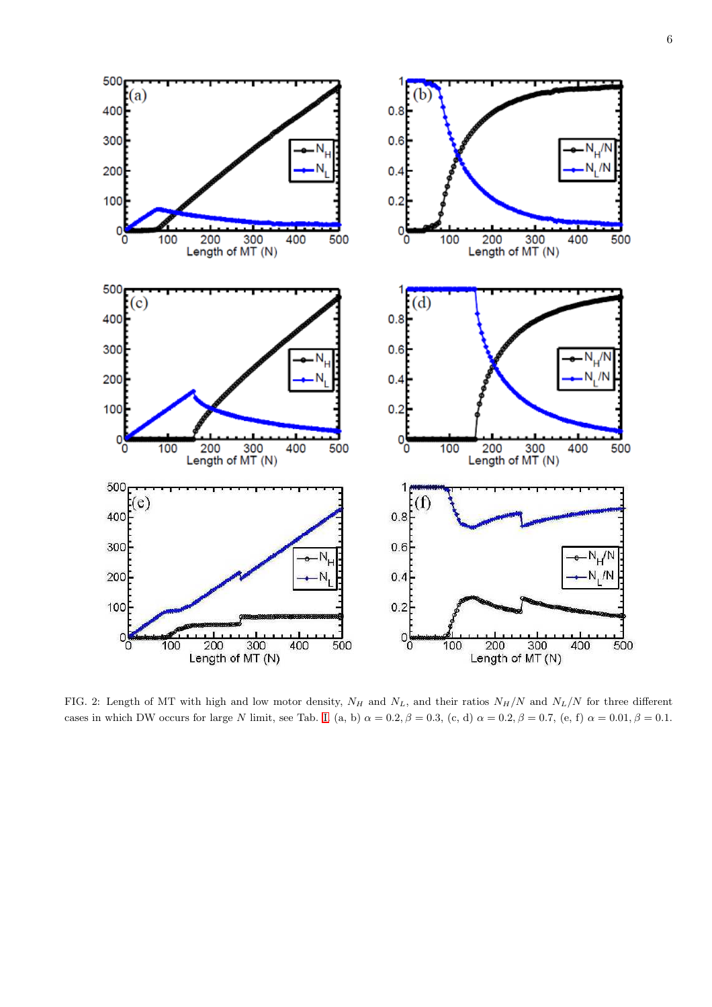

<span id="page-5-0"></span>FIG. 2: Length of MT with high and low motor density,  $N_H$  and  $N_L$ , and their ratios  $N_H/N$  and  $N_L/N$  for three different cases in which DW occurs for large N limit, see Tab. [I.](#page-3-0) (a, b)  $\alpha = 0.2$ ,  $\beta = 0.3$ , (c, d)  $\alpha = 0.2$ ,  $\beta = 0.7$ , (e, f)  $\alpha = 0.01$ ,  $\beta = 0.1$ .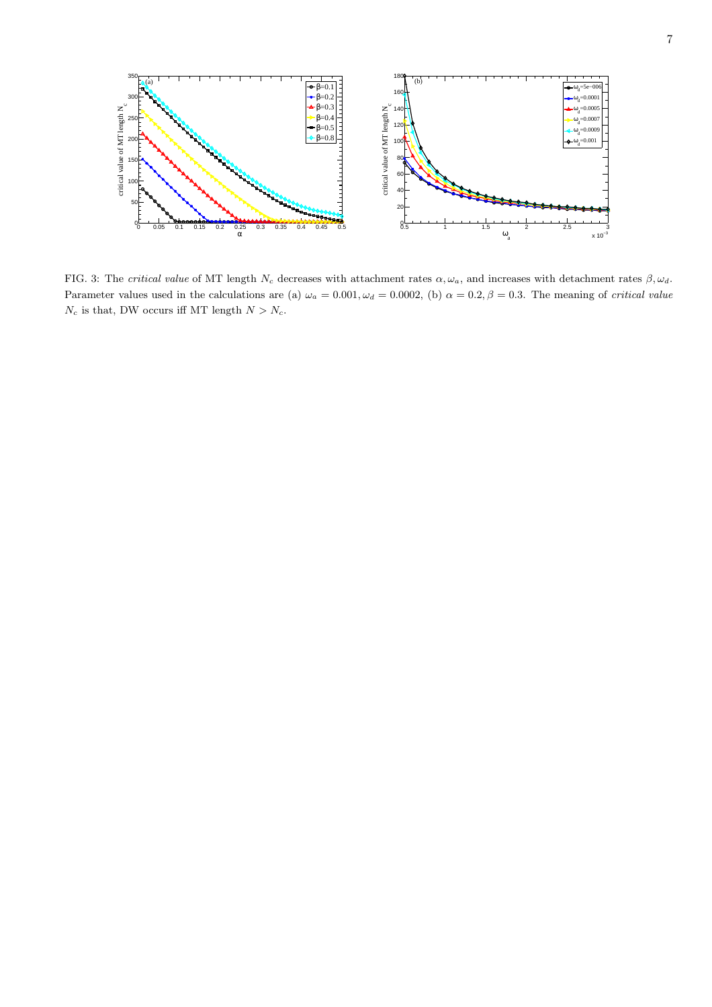

<span id="page-6-0"></span>FIG. 3: The *critical value* of MT length  $N_c$  decreases with attachment rates  $\alpha, \omega_a$ , and increases with detachment rates  $\beta, \omega_d$ . Parameter values used in the calculations are (a)  $\omega_a = 0.001, \omega_d = 0.0002$ , (b)  $\alpha = 0.2, \beta = 0.3$ . The meaning of *critical value*  $N_c$  is that, DW occurs iff MT length  $N > N_c$ .